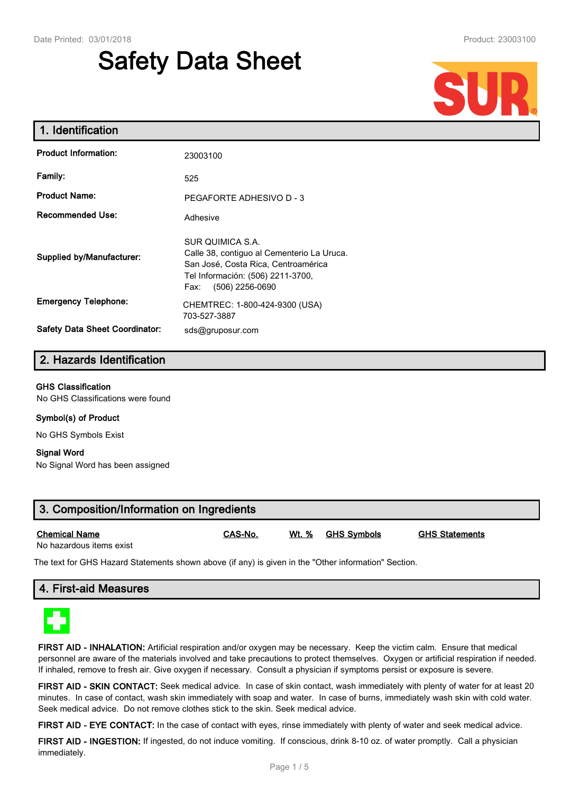# **Safety Data Sheet**



| 1. Identification                     |                                                                                                                                                                       |
|---------------------------------------|-----------------------------------------------------------------------------------------------------------------------------------------------------------------------|
| <b>Product Information:</b>           | 23003100                                                                                                                                                              |
| Family:                               | 525                                                                                                                                                                   |
| <b>Product Name:</b>                  | PEGAFORTE ADHESIVO D - 3                                                                                                                                              |
| <b>Recommended Use:</b>               | Adhesive                                                                                                                                                              |
| <b>Supplied by/Manufacturer:</b>      | SUR QUIMICA S.A.<br>Calle 38, contiguo al Cementerio La Uruca.<br>San José, Costa Rica, Centroamérica<br>Tel Información: (506) 2211-3700,<br>(506) 2256-0690<br>Fax: |
| <b>Emergency Telephone:</b>           | CHEMTREC: 1-800-424-9300 (USA)<br>703-527-3887                                                                                                                        |
| <b>Safety Data Sheet Coordinator:</b> | sds@gruposur.com                                                                                                                                                      |

# **2. Hazards Identification**

#### **GHS Classification**

No GHS Classifications were found

#### **Symbol(s) of Product**

No GHS Symbols Exist

#### **Signal Word**

No Signal Word has been assigned

| 3. Composition/Information on Ingredients |                |                   |                       |
|-------------------------------------------|----------------|-------------------|-----------------------|
| Chemical Name<br>No hazardous items exist | <b>CAS-No.</b> | Wt. % GHS Symbols | <b>GHS Statements</b> |

No hazardous items exist

The text for GHS Hazard Statements shown above (if any) is given in the "Other information" Section.

# **4. First-aid Measures**



**FIRST AID - INHALATION:** Artificial respiration and/or oxygen may be necessary. Keep the victim calm. Ensure that medical personnel are aware of the materials involved and take precautions to protect themselves. Oxygen or artificial respiration if needed. If inhaled, remove to fresh air. Give oxygen if necessary. Consult a physician if symptoms persist or exposure is severe.

**FIRST AID - SKIN CONTACT:** Seek medical advice. In case of skin contact, wash immediately with plenty of water for at least 20 minutes. In case of contact, wash skin immediately with soap and water. In case of burns, immediately wash skin with cold water. Seek medical advice. Do not remove clothes stick to the skin. Seek medical advice.

**FIRST AID - EYE CONTACT:** In the case of contact with eyes, rinse immediately with plenty of water and seek medical advice.

**FIRST AID - INGESTION:** If ingested, do not induce vomiting. If conscious, drink 8-10 oz. of water promptly. Call a physician immediately.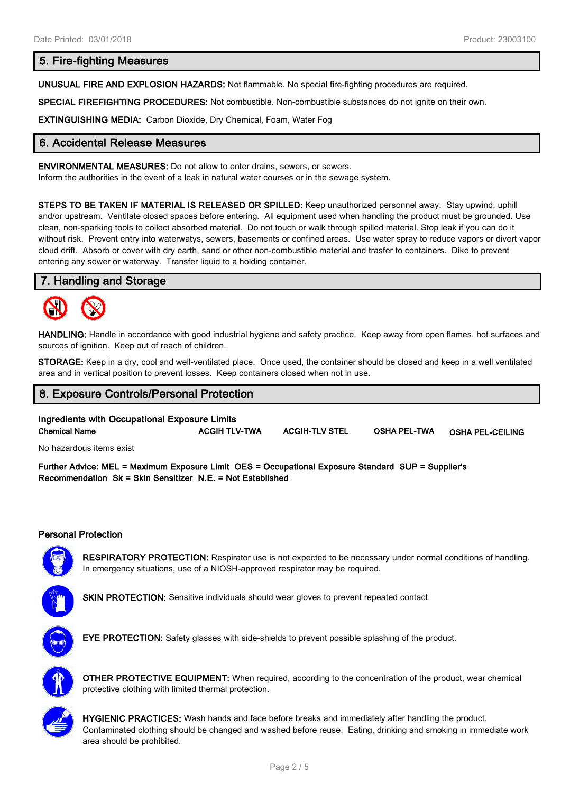# **5. Fire-fighting Measures**

**UNUSUAL FIRE AND EXPLOSION HAZARDS:** Not flammable. No special fire-fighting procedures are required.

**SPECIAL FIREFIGHTING PROCEDURES:** Not combustible. Non-combustible substances do not ignite on their own.

**EXTINGUISHING MEDIA:** Carbon Dioxide, Dry Chemical, Foam, Water Fog

# **6. Accidental Release Measures**

**ENVIRONMENTAL MEASURES:** Do not allow to enter drains, sewers, or sewers.

Inform the authorities in the event of a leak in natural water courses or in the sewage system.

**STEPS TO BE TAKEN IF MATERIAL IS RELEASED OR SPILLED:** Keep unauthorized personnel away. Stay upwind, uphill and/or upstream. Ventilate closed spaces before entering. All equipment used when handling the product must be grounded. Use clean, non-sparking tools to collect absorbed material. Do not touch or walk through spilled material. Stop leak if you can do it without risk. Prevent entry into waterwatys, sewers, basements or confined areas. Use water spray to reduce vapors or divert vapor cloud drift. Absorb or cover with dry earth, sand or other non-combustible material and trasfer to containers. Dike to prevent entering any sewer or waterway. Transfer liquid to a holding container.

#### **7. Handling and Storage**



**HANDLING:** Handle in accordance with good industrial hygiene and safety practice. Keep away from open flames, hot surfaces and sources of ignition. Keep out of reach of children.

**STORAGE:** Keep in a dry, cool and well-ventilated place. Once used, the container should be closed and keep in a well ventilated area and in vertical position to prevent losses. Keep containers closed when not in use.

# **8. Exposure Controls/Personal Protection**

# **Ingredients with Occupational Exposure Limits Chemical Name ACGIH TLV-TWA ACGIH-TLV STEL OSHA PEL-TWA OSHA PEL-CEILING**

No hazardous items exist

**Further Advice: MEL = Maximum Exposure Limit OES = Occupational Exposure Standard SUP = Supplier's Recommendation Sk = Skin Sensitizer N.E. = Not Established**

#### **Personal Protection**



**RESPIRATORY PROTECTION:** Respirator use is not expected to be necessary under normal conditions of handling. In emergency situations, use of a NIOSH-approved respirator may be required.



**SKIN PROTECTION:** Sensitive individuals should wear gloves to prevent repeated contact.



**EYE PROTECTION:** Safety glasses with side-shields to prevent possible splashing of the product.



**OTHER PROTECTIVE EQUIPMENT:** When required, according to the concentration of the product, wear chemical protective clothing with limited thermal protection.



**HYGIENIC PRACTICES:** Wash hands and face before breaks and immediately after handling the product. Contaminated clothing should be changed and washed before reuse. Eating, drinking and smoking in immediate work area should be prohibited.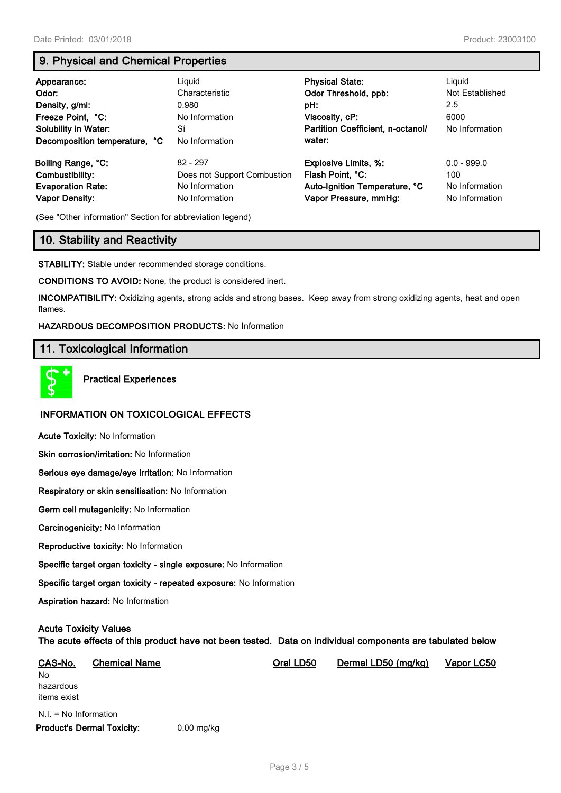# **9. Physical and Chemical Properties**

| Appearance:<br>Odor:<br>Density, g/ml:<br>Freeze Point, °C:<br><b>Solubility in Water:</b><br>Decomposition temperature, °C | Liguid<br>Characteristic<br>0.980<br>No Information<br>Sí<br>No Information | <b>Physical State:</b><br>Odor Threshold, ppb:<br>pH:<br>Viscosity, cP:<br>Partition Coefficient, n-octanol/<br>water: | Liguid<br>Not Established<br>2.5<br>6000<br>No Information |
|-----------------------------------------------------------------------------------------------------------------------------|-----------------------------------------------------------------------------|------------------------------------------------------------------------------------------------------------------------|------------------------------------------------------------|
| Boiling Range, °C:                                                                                                          | $82 - 297$                                                                  | <b>Explosive Limits, %:</b>                                                                                            | $0.0 - 999.0$                                              |
| Combustibility:                                                                                                             | Does not Support Combustion                                                 | Flash Point, °C:                                                                                                       | 100                                                        |
| <b>Evaporation Rate:</b>                                                                                                    | No Information                                                              | Auto-Ignition Temperature, °C                                                                                          | No Information                                             |
| <b>Vapor Density:</b>                                                                                                       | No Information                                                              | Vapor Pressure, mmHg:                                                                                                  | No Information                                             |

(See "Other information" Section for abbreviation legend)

# **10. Stability and Reactivity**

**STABILITY:** Stable under recommended storage conditions.

**CONDITIONS TO AVOID:** None, the product is considered inert.

**INCOMPATIBILITY:** Oxidizing agents, strong acids and strong bases. Keep away from strong oxidizing agents, heat and open flames.

#### **HAZARDOUS DECOMPOSITION PRODUCTS:** No Information

# **11. Toxicological Information**



**Practical Experiences**

# **INFORMATION ON TOXICOLOGICAL EFFECTS**

**Acute Toxicity:** No Information

**Skin corrosion/irritation:** No Information

**Serious eye damage/eye irritation:** No Information

**Respiratory or skin sensitisation:** No Information

**Germ cell mutagenicity:** No Information

**Carcinogenicity:** No Information

**Reproductive toxicity:** No Information

**Specific target organ toxicity - single exposure:** No Information

**Specific target organ toxicity - repeated exposure:** No Information

**Aspiration hazard:** No Information

# **Acute Toxicity Values**

**The acute effects of this product have not been tested. Data on individual components are tabulated below**

| CAS-No.                           | <b>Chemical Name</b> |              | Oral LD50 | Dermal LD50 (mg/kg) | Vapor LC50 |
|-----------------------------------|----------------------|--------------|-----------|---------------------|------------|
| No.                               |                      |              |           |                     |            |
| hazardous                         |                      |              |           |                     |            |
| items exist                       |                      |              |           |                     |            |
| $N.I. = No$ Information           |                      |              |           |                     |            |
| <b>Product's Dermal Toxicity:</b> |                      | $0.00$ mg/kg |           |                     |            |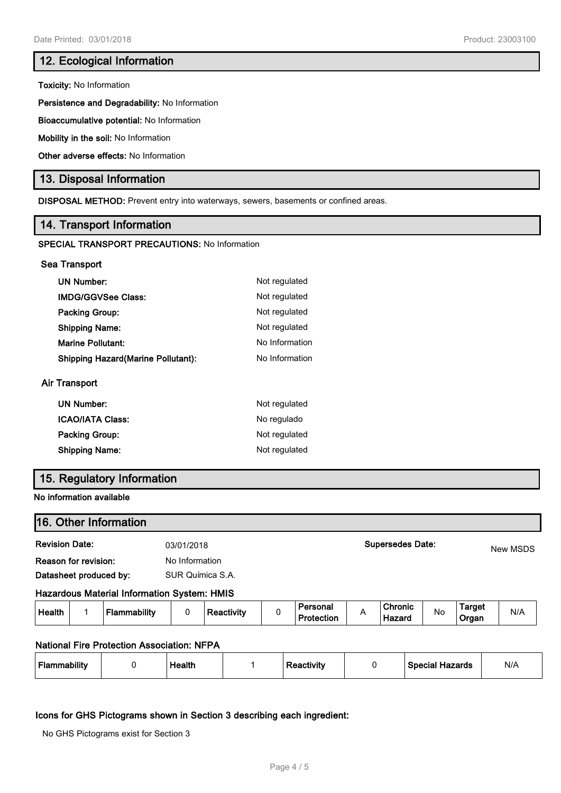# **12. Ecological Information**

**Toxicity:** No Information

**Persistence and Degradability:** No Information

**Bioaccumulative potential:** No Information

**Mobility in the soil:** No Information

**Other adverse effects:** No Information

# **13. Disposal Information**

**DISPOSAL METHOD:** Prevent entry into waterways, sewers, basements or confined areas.

# **14. Transport Information**

#### **SPECIAL TRANSPORT PRECAUTIONS:** No Information

#### **Sea Transport**

Air

| <b>UN Number:</b>                          | Not regulated  |
|--------------------------------------------|----------------|
| <b>IMDG/GGVSee Class:</b>                  | Not regulated  |
| <b>Packing Group:</b>                      | Not regulated  |
| <b>Shipping Name:</b>                      | Not regulated  |
| <b>Marine Pollutant:</b>                   | No Information |
| <b>Shipping Hazard (Marine Pollutant):</b> | No Information |
| Transport                                  |                |
| <b>UN Number:</b>                          | Not regulated  |

| ICAO/IATA Class: | No regulado   |
|------------------|---------------|
| Packing Group:   | Not regulated |
| Shipping Name:   | Not regulated |

# **15. Regulatory Information**

#### **No information available**

| 16. Other Information                       |                  |                         |          |
|---------------------------------------------|------------------|-------------------------|----------|
| <b>Revision Date:</b>                       | 03/01/2018       | <b>Supersedes Date:</b> | New MSDS |
| Reason for revision:                        | No Information   |                         |          |
| Datasheet produced by:                      | SUR Química S.A. |                         |          |
| Hazardous Material Information System: HMIS |                  |                         |          |

| Health | mmability<br>- 10 | .<br>. .<br>'eactivity | Personal<br>Protection | . . | <b>Chronic</b><br>Hazaro | Νo | <b>Target</b><br>Organ | N/A |  |
|--------|-------------------|------------------------|------------------------|-----|--------------------------|----|------------------------|-----|--|
|        |                   |                        |                        |     |                          |    |                        |     |  |

# **National Fire Protection Association: NFPA**

| Flammability |  | Health |  | Reactivity |  | Special Hazards | N/A |
|--------------|--|--------|--|------------|--|-----------------|-----|
|--------------|--|--------|--|------------|--|-----------------|-----|

#### **Icons for GHS Pictograms shown in Section 3 describing each ingredient:**

No GHS Pictograms exist for Section 3